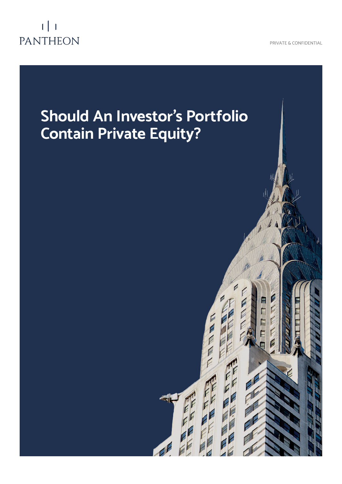

# $1$  | 1 PANTHEON

# **Should An Investor's Portfolio Contain Private Equity?**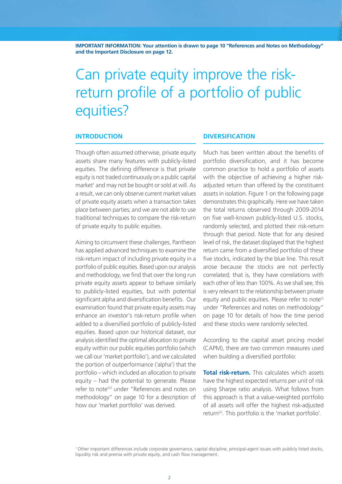**IMPORTANT INFORMATION: Your attention is drawn to page 10 "References and Notes on Methodology" and the Important Disclosure on page 12.**

# Can private equity improve the riskreturn profile of a portfolio of public equities?

### **INTRODUCTION**

Though often assumed otherwise, private equity assets share many features with publicly-listed equities. The defining difference is that private equity is not traded continuously on a public capital market<sup>1</sup> and may not be bought or sold at will. As a result, we can only observe current market values of private equity assets when a transaction takes place between parties; and we are not able to use traditional techniques to compare the risk-return of private equity to public equities.

Aiming to circumvent these challenges, Pantheon has applied advanced techniques to examine the risk-return impact of including private equity in a portfolio of public equities. Based upon our analysis and methodology, we find that over the long run private equity assets appear to behave similarly to publicly-listed equities, but with potential significant alpha and diversification benefits. Our examination found that private equity assets may enhance an investor's risk-return profile when added to a diversified portfolio of publicly-listed equities. Based upon our historical dataset, our analysis identified the optimal allocation to private equity within our public equities portfolio (which we call our 'market portfolio'), and we calculated the portion of outperformance ('alpha') that the portfolio – which included an allocation to private equity – had the potential to generate. Please refer to note<sup>(vi)</sup> under "References and notes on methodology" on page 10 for a description of how our 'market portfolio' was derived.

## **DIVERSIFICATION**

Much has been written about the benefits of portfolio diversification, and it has become common practice to hold a portfolio of assets with the objective of achieving a higher riskadjusted return than offered by the constituent assets in isolation. Figure 1 on the following page demonstrates this graphically. Here we have taken the total returns observed through 2009-2014 on five well-known publicly-listed U.S. stocks, randomly selected, and plotted their risk-return through that period. Note that for any desired level of risk, the dataset displayed that the highest return came from a diversified portfolio of these five stocks, indicated by the blue line. This result arose because the stocks are not perfectly correlated; that is, they have correlations with each other of less than 100%. As we shall see, this is very relevant to the relationship between private equity and public equities. Please refer to note<sup>(i)</sup> under "References and notes on methodology" on page 10 for details of how the time period and these stocks were randomly selected.

According to the capital asset pricing model (CAPM), there are two common measures used when building a diversified portfolio:

**Total risk-return.** This calculates which assets have the highest expected returns per unit of risk using Sharpe ratio analysis. What follows from this approach is that a value-weighted portfolio of all assets will offer the highest risk-adjusted return<sup>(ii)</sup>. This portfolio is the 'market portfolio'.

<sup>1</sup>Other important differences include corporate governance, capital discipline, principal-agent issues with publicly listed stocks, liquidity risk and premia with private equity, and cash flow management.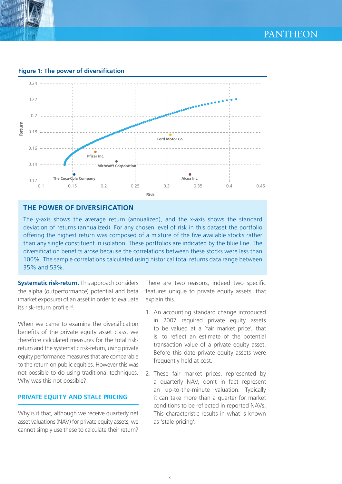

**Figure 1: The power of diversification** 



# **THE POWER OF DIVERSIFICATION**

The y-axis shows the average return (annualized), and the x-axis shows the standard deviation of returns (annualized). For any chosen level of risk in this dataset the portfolio offering the highest return was composed of a mixture of the five available stocks rather than any single constituent in isolation. These portfolios are indicated by the blue line. The diversification benefits arose because the correlations between these stocks were less than 100%. The sample correlations calculated using historical total returns data range between 35% and 53%.

**Systematic risk-return.** This approach considers the alpha (outperformance) potential and beta (market exposure) of an asset in order to evaluate its risk-return profile<sup>(iii)</sup>.

When we came to examine the diversification benefits of the private equity asset class, we therefore calculated measures for the total riskreturn and the systematic risk-return, using private equity performance measures that are comparable to the return on public equities. However this was not possible to do using traditional techniques. Why was this not possible?

# **PRIVATE EQUITY AND STALE PRICING**

Why is it that, although we receive quarterly net asset valuations (NAV) for private equity assets, we cannot simply use these to calculate their return?

There are two reasons, indeed two specific features unique to private equity assets, that explain this.

- 1. An accounting standard change introduced in 2007 required private equity assets to be valued at a 'fair market price', that is, to reflect an estimate of the potential transaction value of a private equity asset. Before this date private equity assets were frequently held at cost.
- 2. These fair market prices, represented by a quarterly NAV, don't in fact represent an up-to-the-minute valuation. Typically it can take more than a quarter for market conditions to be reflected in reported NAVs. This characteristic results in what is known as 'stale pricing'.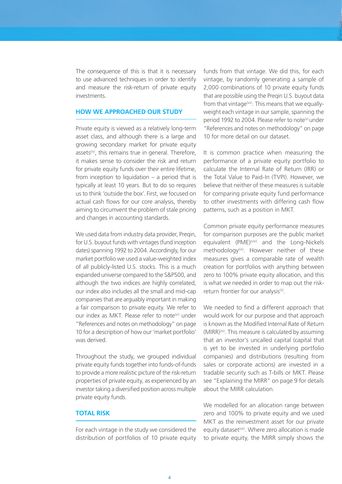The consequence of this is that it is necessary to use advanced techniques in order to identify and measure the risk-return of private equity investments.

### **HOW WE APPROACHED OUR STUDY**

Private equity is viewed as a relatively long-term asset class, and although there is a large and growing secondary market for private equity assets<sup>(iv)</sup>, this remains true in general. Therefore, it makes sense to consider the risk and return for private equity funds over their entire lifetime, from inception to liquidation – a period that is typically at least 10 years. But to do so requires us to think 'outside the box'. First, we focused on actual cash flows for our core analysis, thereby aiming to circumvent the problem of stale pricing and changes in accounting standards.

We used data from industry data provider, Pregin, for U.S. buyout funds with vintages (fund inception dates) spanning 1992 to 2004. Accordingly, for our market portfolio we used a value-weighted index of all publicly-listed U.S. stocks. This is a much expanded universe compared to the S&P500, and although the two indices are highly correlated, our index also includes all the small and mid-cap companies that are arguably important in making a fair comparison to private equity. We refer to our index as MKT. Please refer to note<sup>(vi)</sup> under "References and notes on methodology" on page 10 for a description of how our 'market portfolio' was derived.

Throughout the study, we grouped individual private equity funds together into funds-of-funds to provide a more realistic picture of the risk-return properties of private equity, as experienced by an investor taking a diversified position across multiple private equity funds.

#### **TOTAL RISK**

For each vintage in the study we considered the distribution of portfolios of 10 private equity

funds from that vintage. We did this, for each vintage, by randomly generating a sample of 2,000 combinations of 10 private equity funds that are possible using the Preqin U.S. buyout data from that vintage<sup>(vii)</sup>. This means that we equallyweight each vintage in our sample, spanning the period 1992 to 2004. Please refer to note<sup>(v)</sup> under "References and notes on methodology" on page 10 for more detail on our dataset.

It is common practice when measuring the performance of a private equity portfolio to calculate the Internal Rate of Return (IRR) or the Total Value to Paid-In (TVPI). However, we believe that neither of these measures is suitable for comparing private equity fund performance to other investments with differing cash flow patterns, such as a position in MKT.

Common private equity performance measures for comparison purposes are the public market equivalent (PME)<sup>(viii)</sup> and the Long-Nickels methodology<sup>(ix)</sup>. However neither of these measures gives a comparable rate of wealth creation for portfolios with anything between zero to 100% private equity allocation, and this is what we needed in order to map out the riskreturn frontier for our analysis $(x)$ .

We needed to find a different approach that would work for our purpose and that approach is known as the Modified Internal Rate of Return  $(MIRR)^{(xi)}$ . This measure is calculated by assuming that an investor's uncalled capital (capital that is yet to be invested in underlying portfolio companies) and distributions (resulting from sales or corporate actions) are invested in a tradable security such as T-bills or MKT. Please see "Explaining the MIRR" on page 9 for details about the MIRR calculation.

We modelled for an allocation range between zero and 100% to private equity and we used MKT as the reinvestment asset for our private equity dataset<sup>(xii)</sup>. Where zero allocation is made to private equity, the MIRR simply shows the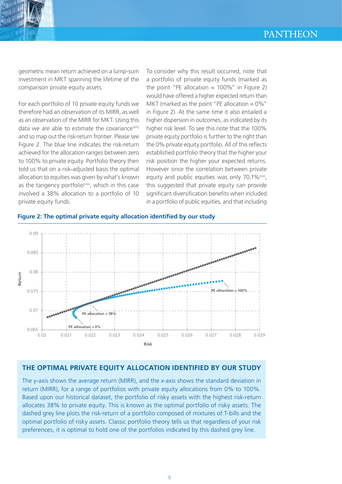

geometric mean return achieved on a lump-sum investment in MKT spanning the lifetime of the comparison private equity assets.

For each portfolio of 10 private equity funds we therefore had an observation of its MIRR, as well as an observation of the MIRR for MKT. Using this data we are able to estimate the covariance $(xiiii)$ and so map out the risk-return frontier. Please see Figure 2. The blue line indicates the risk-return achieved for the allocation ranges between zero to 100% to private equity. Portfolio theory then told us that on a risk-adjusted basis the optimal allocation to equities was given by what's known as the tangency portfolio<sup>(xiv)</sup>, which in this case involved a 38% allocation to a portfolio of 10 private equity funds.

To consider why this result occurred, note that a portfolio of private equity funds (marked as the point "PE allocation  $= 100\%$ " in Figure 2) would have offered a higher expected return than MKT (marked as the point "PE allocation  $= 0\%$ " in Figure 2). At the same time it also entailed a higher dispersion in outcomes, as indicated by its higher risk level. To see this note that the 100% private equity portfolio is further to the right than the 0% private equity portfolio. All of this reflects established portfolio theory that the higher your risk position the higher your expected returns. However since the correlation between private equity and public equities was only 70.1%<sup>(xv)</sup>, this suggested that private equity can provide significant diversification benefits when included in a portfolio of public equities, and that including





# **THE OPTIMAL PRIVATE EQUITY ALLOCATION IDENTIFIED BY OUR STUDY**

The y-axis shows the average return (MIRR), and the x-axis shows the standard deviation in return (MIRR), for a range of portfolios with private equity allocations from 0% to 100%. Based upon our historical dataset, the portfolio of risky assets with the highest risk-return allocates 38% to private equity. This is known as the optimal portfolio of risky assets. The dashed grey line plots the risk-return of a portfolio composed of mixtures of T-bills and the optimal portfolio of risky assets. Classic portfolio theory tells us that regardless of your risk preferences, it is optimal to hold one of the portfolios indicated by this dashed grey line.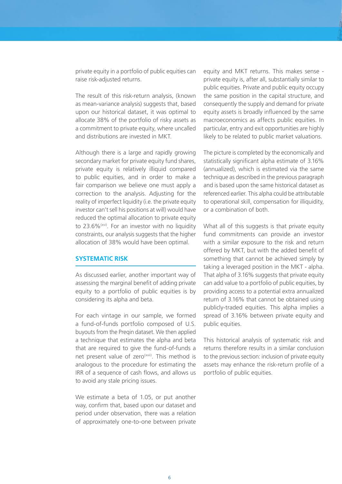private equity in a portfolio of public equities can raise risk-adjusted returns.

The result of this risk-return analysis, (known as mean-variance analysis) suggests that, based upon our historical dataset, it was optimal to allocate 38% of the portfolio of risky assets as a commitment to private equity, where uncalled and distributions are invested in MKT.

Although there is a large and rapidly growing secondary market for private equity fund shares, private equity is relatively illiquid compared to public equities, and in order to make a fair comparison we believe one must apply a correction to the analysis. Adjusting for the reality of imperfect liquidity (i.e. the private equity investor can't sell his positions at will) would have reduced the optimal allocation to private equity to 23.6%(xvi). For an investor with no liquidity constraints, our analysis suggests that the higher allocation of 38% would have been optimal.

## **SYSTEMATIC RISK**

As discussed earlier, another important way of assessing the marginal benefit of adding private equity to a portfolio of public equities is by considering its alpha and beta.

For each vintage in our sample, we formed a fund-of-funds portfolio composed of U.S. buyouts from the Preqin dataset. We then applied a technique that estimates the alpha and beta that are required to give the fund-of-funds a net present value of zero<sup>(xvii)</sup>. This method is analogous to the procedure for estimating the IRR of a sequence of cash flows, and allows us to avoid any stale pricing issues.

We estimate a beta of 1.05, or put another way, confirm that, based upon our dataset and period under observation, there was a relation of approximately one-to-one between private

equity and MKT returns. This makes sense private equity is, after all, substantially similar to public equities. Private and public equity occupy the same position in the capital structure, and consequently the supply and demand for private equity assets is broadly influenced by the same macroeconomics as affects public equities. In particular, entry and exit opportunities are highly likely to be related to public market valuations.

The picture is completed by the economically and statistically significant alpha estimate of 3.16% (annualized), which is estimated via the same technique as described in the previous paragraph and is based upon the same historical dataset as referenced earlier. This alpha could be attributable to operational skill, compensation for illiquidity, or a combination of both.

What all of this suggests is that private equity fund commitments can provide an investor with a similar exposure to the risk and return offered by MKT, but with the added benefit of something that cannot be achieved simply by taking a leveraged position in the MKT - alpha. That alpha of 3.16% suggests that private equity can add value to a portfolio of public equities, by providing access to a potential extra annualized return of 3.16% that cannot be obtained using publicly-traded equities. This alpha implies a spread of 3.16% between private equity and public equities.

This historical analysis of systematic risk and returns therefore results in a similar conclusion to the previous section: inclusion of private equity assets may enhance the risk-return profile of a portfolio of public equities.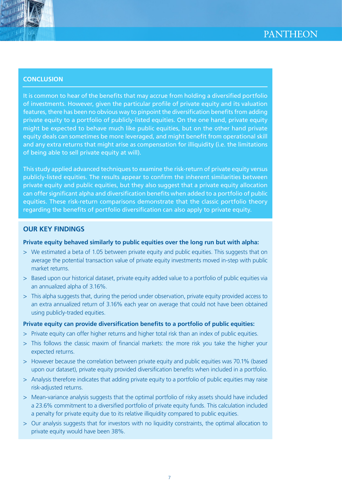

# **CONCLUSION**

It is common to hear of the benefits that may accrue from holding a diversified portfolio of investments. However, given the particular profile of private equity and its valuation features, there has been no obvious way to pinpoint the diversification benefits from adding private equity to a portfolio of publicly-listed equities. On the one hand, private equity might be expected to behave much like public equities, but on the other hand private equity deals can sometimes be more leveraged, and might benefit from operational skill and any extra returns that might arise as compensation for illiquidity (i.e. the limitations of being able to sell private equity at will).

This study applied advanced techniques to examine the risk-return of private equity versus publicly-listed equities. The results appear to confirm the inherent similarities between private equity and public equities, but they also suggest that a private equity allocation can offer significant alpha and diversification benefits when added to a portfolio of public equities. These risk-return comparisons demonstrate that the classic portfolio theory regarding the benefits of portfolio diversification can also apply to private equity.

# **OUR KEY FINDINGS**

### **Private equity behaved similarly to public equities over the long run but with alpha:**

- > We estimated a beta of 1.05 between private equity and public equities. This suggests that on average the potential transaction value of private equity investments moved in-step with public market returns.
- > Based upon our historical dataset, private equity added value to a portfolio of public equities via an annualized alpha of 3.16%.
- > This alpha suggests that, during the period under observation, private equity provided access to an extra annualized return of 3.16% each year on average that could not have been obtained using publicly-traded equities.

#### **Private equity can provide diversification benefits to a portfolio of public equities:**

- > Private equity can offer higher returns and higher total risk than an index of public equities.
- > This follows the classic maxim of financial markets: the more risk you take the higher your expected returns.
- > However because the correlation between private equity and public equities was 70.1% (based upon our dataset), private equity provided diversification benefits when included in a portfolio.
- > Analysis therefore indicates that adding private equity to a portfolio of public equities may raise risk-adjusted returns.
- > Mean-variance analysis suggests that the optimal portfolio of risky assets should have included a 23.6% commitment to a diversified portfolio of private equity funds. This calculation included a penalty for private equity due to its relative illiquidity compared to public equities.
- > Our analysis suggests that for investors with no liquidity constraints, the optimal allocation to private equity would have been 38%.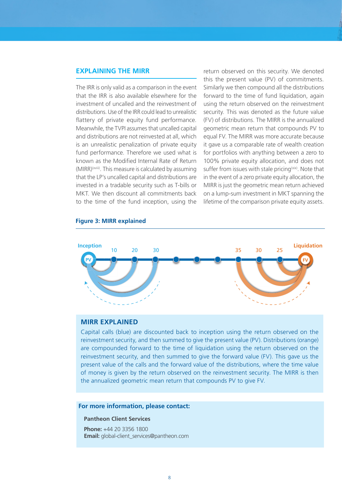#### **EXPLAINING THE MIRR**

The IRR is only valid as a comparison in the event that the IRR is also available elsewhere for the investment of uncalled and the reinvestment of distributions. Use of the IRR could lead to unrealistic flattery of private equity fund performance. Meanwhile, the TVPI assumes that uncalled capital and distributions are not reinvested at all, which is an unrealistic penalization of private equity fund performance. Therefore we used what is known as the Modified Internal Rate of Return (MIRR)(xviii). This measure is calculated by assuming that the LP's uncalled capital and distributions are invested in a tradable security such as T-bills or MKT. We then discount all commitments back to the time of the fund inception, using the

return observed on this security. We denoted this the present value (PV) of commitments. Similarly we then compound all the distributions forward to the time of fund liquidation, again using the return observed on the reinvestment security. This was denoted as the future value (FV) of distributions. The MIRR is the annualized geometric mean return that compounds PV to equal FV. The MIRR was more accurate because it gave us a comparable rate of wealth creation for portfolios with anything between a zero to 100% private equity allocation, and does not suffer from issues with stale pricing<sup>(xix)</sup>. Note that in the event of a zero private equity allocation, the MIRR is just the geometric mean return achieved on a lump-sum investment in MKT spanning the lifetime of the comparison private equity assets.



#### **Figure 3: MIRR explained**

#### **MIRR EXPLAINED**

Capital calls (blue) are discounted back to inception using the return observed on the reinvestment security, and then summed to give the present value (PV). Distributions (orange) are compounded forward to the time of liquidation using the return observed on the reinvestment security, and then summed to give the forward value (FV). This gave us the present value of the calls and the forward value of the distributions, where the time value of money is given by the return observed on the reinvestment security. The MIRR is then the annualized geometric mean return that compounds PV to give FV.

#### **For more information, please contact:**

#### **Pantheon Client Services**

**Phone:** +44 20 3356 1800 **Email:** global-client\_services@pantheon.com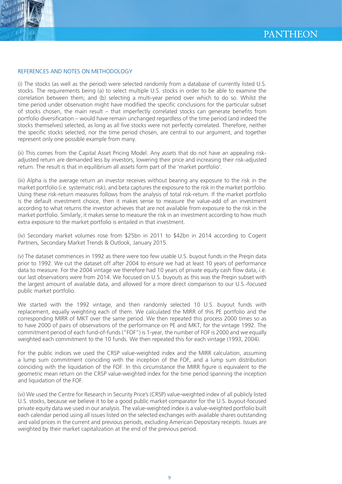

#### REFERENCES AND NOTES ON METHODOLOGY

(i) The stocks (as well as the period) were selected randomly from a database of currently listed U.S. stocks. The requirements being (a) to select multiple U.S. stocks in order to be able to examine the correlation between them; and (b) selecting a multi-year period over which to do so. Whilst the time period under observation might have modified the specific conclusions for the particular subset of stocks chosen, the main result – that imperfectly correlated stocks can generate benefits from portfolio diversification – would have remain unchanged regardless of the time period (and indeed the stocks themselves) selected, as long as all five stocks were not perfectly correlated. Therefore, neither the specific stocks selected, nor the time period chosen, are central to our argument, and together represent only one possible example from many.

(ii) This comes from the Capital Asset Pricing Model. Any assets that do not have an appealing riskadjusted return are demanded less by investors, lowering their price and increasing their risk-adjusted return. The result is that in equilibrium all assets form part of the 'market portfolio'.

(iii) Alpha is the average return an investor receives without bearing any exposure to the risk in the market portfolio (i.e. systematic risk), and beta captures the exposure to the risk in the market portfolio. Using these risk-return measures follows from the analysis of total risk-return. If the market portfolio is the default investment choice, then it makes sense to measure the value-add of an investment according to what returns the investor achieves that are not available from exposure to the risk in the market portfolio. Similarly, it makes sense to measure the risk in an investment according to how much extra exposure to the market portfolio is entailed in that investment.

(iv) Secondary market volumes rose from \$25bn in 2011 to \$42bn in 2014 according to Cogent Partners, Secondary Market Trends & Outlook, January 2015.

(v) The dataset commences in 1992 as there were too few usable U.S. buyout funds in the Preqin data prior to 1992. We cut the dataset off after 2004 to ensure we had at least 10 years of performance data to measure. For the 2004 vintage we therefore had 10 years of private equity cash flow data, i.e. our last observations were from 2014. We focused on U.S. buyouts as this was the Preqin subset with the largest amount of available data, and allowed for a more direct comparison to our U.S.-focused public market portfolio.

We started with the 1992 vintage, and then randomly selected 10 U.S. buyout funds with replacement, equally weighting each of them. We calculated the MIRR of this PE portfolio and the corresponding MIRR of MKT over the same period. We then repeated this process 2000 times so as to have 2000 of pairs of observations of the performance on PE and MKT, for the vintage 1992. The commitment period of each fund-of-funds ("FOF") is 1-year, the number of FOF is 2000 and we equally weighted each commitment to the 10 funds. We then repeated this for each vintage (1993, 2004).

For the public indices we used the CRSP value-weighted index and the MIRR calculation, assuming a lump sum commitment coinciding with the inception of the FOF, and a lump sum distribution coinciding with the liquidation of the FOF. In this circumstance the MIRR figure is equivalent to the geometric mean return on the CRSP value-weighted index for the time period spanning the inception and liquidation of the FOF.

(vi) We used the Centre for Research in Security Price's (CRSP) value-weighted index of all publicly listed U.S. stocks, because we believe it to be a good public market comparator for the U.S. buyout-focused private equity data we used in our analysis. The value-weighted index is a value-weighted portfolio built each calendar period using all issues listed on the selected exchanges with available shares outstanding and valid prices in the current and previous periods, excluding American Depositary receipts. Issues are weighted by their market capitalization at the end of the previous period.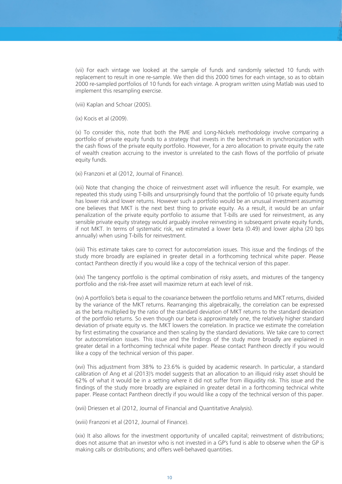(vii) For each vintage we looked at the sample of funds and randomly selected 10 funds with replacement to result in one re-sample. We then did this 2000 times for each vintage, so as to obtain 2000 re-sampled portfolios of 10 funds for each vintage. A program written using Matlab was used to implement this resampling exercise.

(viii) Kaplan and Schoar (2005).

(ix) Kocis et al (2009).

(x) To consider this, note that both the PME and Long-Nickels methodology involve comparing a portfolio of private equity funds to a strategy that invests in the benchmark in synchronization with the cash flows of the private equity portfolio. However, for a zero allocation to private equity the rate of wealth creation accruing to the investor is unrelated to the cash flows of the portfolio of private equity funds.

(xi) Franzoni et al (2012, Journal of Finance).

(xii) Note that changing the choice of reinvestment asset will influence the result. For example, we repeated this study using T-bills and unsurprisingly found that the portfolio of 10 private equity funds has lower risk and lower returns. However such a portfolio would be an unusual investment assuming one believes that MKT is the next best thing to private equity. As a result, it would be an unfair penalization of the private equity portfolio to assume that T-bills are used for reinvestment, as any sensible private equity strategy would arguably involve reinvesting in subsequent private equity funds, if not MKT. In terms of systematic risk, we estimated a lower beta (0.49) and lower alpha (20 bps annually) when using T-bills for reinvestment.

(xiii) This estimate takes care to correct for autocorrelation issues. This issue and the findings of the study more broadly are explained in greater detail in a forthcoming technical white paper. Please contact Pantheon directly if you would like a copy of the technical version of this paper.

(xiv) The tangency portfolio is the optimal combination of risky assets, and mixtures of the tangency portfolio and the risk-free asset will maximize return at each level of risk.

(xv) A portfolio's beta is equal to the covariance between the portfolio returns and MKT returns, divided by the variance of the MKT returns. Rearranging this algebraically, the correlation can be expressed as the beta multiplied by the ratio of the standard deviation of MKT returns to the standard deviation of the portfolio returns. So even though our beta is approximately one, the relatively higher standard deviation of private equity vs. the MKT lowers the correlation. In practice we estimate the correlation by first estimating the covariance and then scaling by the standard deviations. We take care to correct for autocorrelation issues. This issue and the findings of the study more broadly are explained in greater detail in a forthcoming technical white paper. Please contact Pantheon directly if you would like a copy of the technical version of this paper.

(xvi) This adjustment from 38% to 23.6% is guided by academic research. In particular, a standard calibration of Ang et al (2013)'s model suggests that an allocation to an illiquid risky asset should be 62% of what it would be in a setting where it did not suffer from illiquidity risk. This issue and the findings of the study more broadly are explained in greater detail in a forthcoming technical white paper. Please contact Pantheon directly if you would like a copy of the technical version of this paper.

(xvii) Driessen et al (2012, Journal of Financial and Quantitative Analysis).

(xviii) Franzoni et al (2012, Journal of Finance).

(xix) It also allows for the investment opportunity of uncalled capital; reinvestment of distributions; does not assume that an investor who is not invested in a GP's fund is able to observe when the GP is making calls or distributions; and offers well-behaved quantities.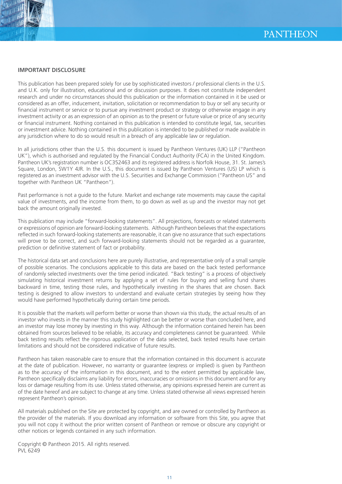



#### **IMPORTANT DISCLOSURE**

This publication has been prepared solely for use by sophisticated investors / professional clients in the U.S. and U.K. only for illustration, educational and or discussion purposes. It does not constitute independent research and under no circumstances should this publication or the information contained in it be used or considered as an offer, inducement, invitation, solicitation or recommendation to buy or sell any security or financial instrument or service or to pursue any investment product or strategy or otherwise engage in any investment activity or as an expression of an opinion as to the present or future value or price of any security or financial instrument. Nothing contained in this publication is intended to constitute legal, tax, securities or investment advice. Nothing contained in this publication is intended to be published or made available in any jurisdiction where to do so would result in a breach of any applicable law or regulation.

In all jurisdictions other than the U.S. this document is issued by Pantheon Ventures (UK) LLP ("Pantheon UK"), which is authorised and regulated by the Financial Conduct Authority (FCA) in the United Kingdom. Pantheon UK's registration number is OC352463 and its registered address is Norfolk House, 31. St. James's Square, London, SW1Y 4JR. In the U.S., this document is issued by Pantheon Ventures (US) LP which is registered as an investment advisor with the U.S. Securities and Exchange Commission ("Pantheon US" and together with Pantheon UK "Pantheon").

Past performance is not a guide to the future. Market and exchange rate movements may cause the capital value of investments, and the income from them, to go down as well as up and the investor may not get back the amount originally invested.

This publication may include "forward-looking statements". All projections, forecasts or related statements or expressions of opinion are forward-looking statements. Although Pantheon believes that the expectations reflected in such forward-looking statements are reasonable, it can give no assurance that such expectations will prove to be correct, and such forward-looking statements should not be regarded as a guarantee, prediction or definitive statement of fact or probability.

The historical data set and conclusions here are purely illustrative, and representative only of a small sample of possible scenarios. The conclusions applicable to this data are based on the back tested performance of randomly selected investments over the time period indicated. "Back testing" is a process of objectively simulating historical investment returns by applying a set of rules for buying and selling fund shares backward in time, testing those rules, and hypothetically investing in the shares that are chosen. Back testing is designed to allow investors to understand and evaluate certain strategies by seeing how they would have performed hypothetically during certain time periods.

It is possible that the markets will perform better or worse than shown via this study, the actual results of an investor who invests in the manner this study highlighted can be better or worse than concluded here, and an investor may lose money by investing in this way. Although the information contained herein has been obtained from sources believed to be reliable, its accuracy and completeness cannot be guaranteed. While back testing results reflect the rigorous application of the data selected, back tested results have certain limitations and should not be considered indicative of future results.

Pantheon has taken reasonable care to ensure that the information contained in this document is accurate at the date of publication. However, no warranty or guarantee (express or implied) is given by Pantheon as to the accuracy of the information in this document, and to the extent permitted by applicable law, Pantheon specifically disclaims any liability for errors, inaccuracies or omissions in this document and for any loss or damage resulting from its use. Unless stated otherwise, any opinions expressed herein are current as of the date hereof and are subject to change at any time. Unless stated otherwise all views expressed herein represent Pantheon's opinion.

All materials published on the Site are protected by copyright, and are owned or controlled by Pantheon as the provider of the materials. If you download any information or software from this Site, you agree that you will not copy it without the prior written consent of Pantheon or remove or obscure any copyright or other notices or legends contained in any such information.

Copyright © Pantheon 2015. All rights reserved. PVL 6249